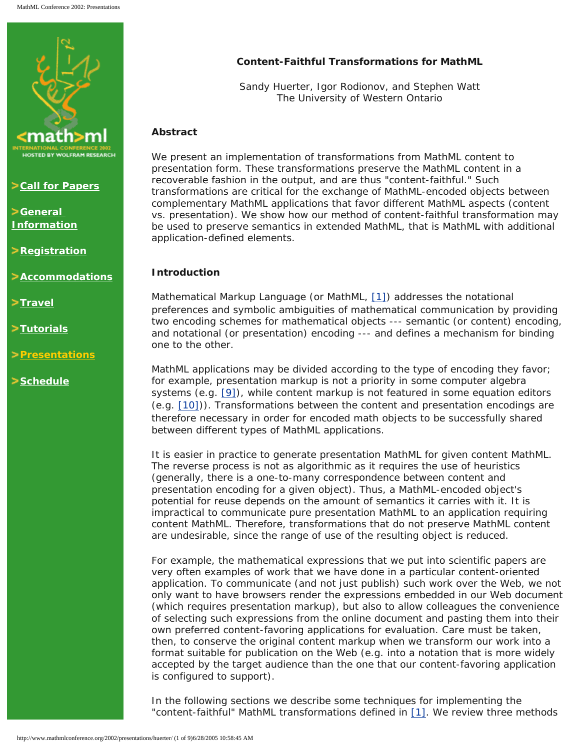

**Zall for Papers** 

**[General](http://www.mathmlconference.org/2002/info.html)  [Information](http://www.mathmlconference.org/2002/info.html)**

**P[Registration](http://www.wolfram.com/mathmlconference/register.cgi)** 

**[Accommodations](http://www.mathmlconference.org/2002/accommodations.html)**

**>[Travel](http://www.mathmlconference.org/2002/travel.html)** 

**[Tutorials](http://www.mathmlconference.org/2002/tutorials.html)**

**[Presentations](http://www.mathmlconference.org/2002/presentations.html)**

**[Schedule](http://www.mathmlconference.org/2002/schedule.html)**

# **Content-Faithful Transformations for MathML**

Sandy Huerter, Igor Rodionov, and Stephen Watt The University of Western Ontario

## **Abstract**

We present an implementation of transformations from MathML content to presentation form. These transformations preserve the MathML content in a recoverable fashion in the output, and are thus "content-faithful." Such transformations are critical for the exchange of MathML-encoded objects between complementary MathML applications that favor different MathML aspects (content vs. presentation). We show how our method of content-faithful transformation may be used to preserve semantics in extended MathML, that is MathML with additional application-defined elements.

## **Introduction**

Mathematical Markup Language (or MathML, [\[1\]](#page-8-0)) addresses the notational preferences and symbolic ambiguities of mathematical communication by providing two encoding schemes for mathematical objects --- semantic (or content) encoding, and notational (or presentation) encoding --- and defines a mechanism for binding one to the other.

MathML applications may be divided according to the type of encoding they favor; for example, presentation markup is not a priority in some computer algebra systems (e.g. [\[9\]](#page-8-1)), while content markup is not featured in some equation editors (e.g. [\[10\]](#page-8-2))). Transformations between the content and presentation encodings are therefore necessary in order for encoded math objects to be successfully shared between different types of MathML applications.

It is easier in practice to generate presentation MathML for given content MathML. The reverse process is not as algorithmic as it requires the use of heuristics (generally, there is a one-to-many correspondence between content and presentation encoding for a given object). Thus, a MathML-encoded object's potential for reuse depends on the amount of semantics it carries with it. It is impractical to communicate pure presentation MathML to an application requiring content MathML. Therefore, transformations that do not preserve MathML content are undesirable, since the range of use of the resulting object is reduced.

For example, the mathematical expressions that we put into scientific papers are very often examples of work that we have done in a particular content-oriented application. To communicate (and not just publish) such work over the Web, we not only want to have browsers render the expressions embedded in our Web document (which requires presentation markup), but also to allow colleagues the convenience of selecting such expressions from the online document and pasting them into their own preferred content-favoring applications for evaluation. Care must be taken, then, to conserve the original content markup when we transform our work into a format suitable for publication on the Web (e.g. into a notation that is more widely accepted by the target audience than the one that our content-favoring application is configured to support).

In the following sections we describe some techniques for implementing the "content-faithful" MathML transformations defined in [\[1\].](#page-8-0) We review three methods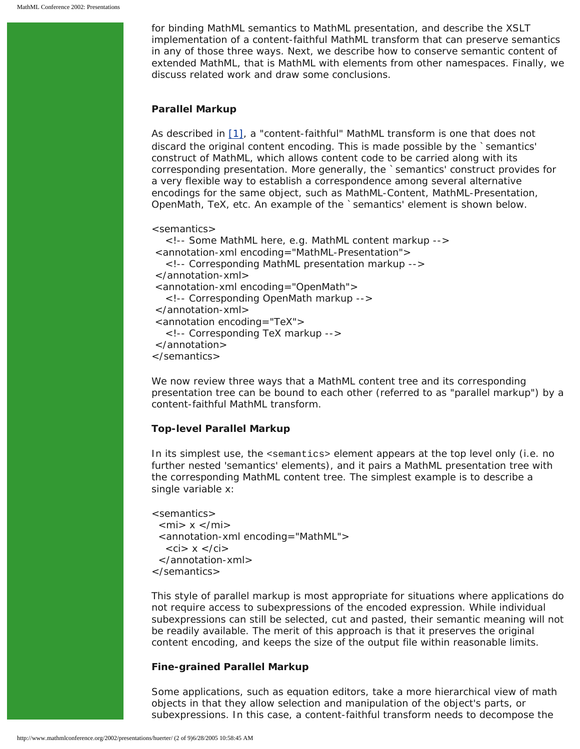for binding MathML semantics to MathML presentation, and describe the XSLT implementation of a content-faithful MathML transform that can preserve semantics in any of those three ways. Next, we describe how to conserve semantic content of extended MathML, that is MathML with elements from other namespaces. Finally, we discuss related work and draw some conclusions.

## **Parallel Markup**

As described in [\[1\]](#page-8-0), a "content-faithful" MathML transform is one that does not discard the original content encoding. This is made possible by the `semantics' construct of MathML, which allows content code to be carried along with its corresponding presentation. More generally, the `semantics' construct provides for a very flexible way to establish a correspondence among several alternative encodings for the same object, such as MathML-Content, MathML-Presentation, OpenMath, TeX, etc. An example of the `semantics' element is shown below.

```
<semantics>
   <!-- Some MathML here, e.g. MathML content markup -->
 <annotation-xml encoding="MathML-Presentation">
   <!-- Corresponding MathML presentation markup -->
 </annotation-xml>
 <annotation-xml encoding="OpenMath">
   <!-- Corresponding OpenMath markup -->
 </annotation-xml> 
 <annotation encoding="TeX">
   <!-- Corresponding TeX markup -->
 </annotation>
</semantics>
```
We now review three ways that a MathML content tree and its corresponding presentation tree can be bound to each other (referred to as "parallel markup") by a content-faithful MathML transform.

## **Top-level Parallel Markup**

In its simplest use, the <semantics> element appears at the top level only (i.e. no further nested 'semantics' elements), and it pairs a MathML presentation tree with the corresponding MathML content tree. The simplest example is to describe a single variable *x*:

```
<semantics>
 \langlemi> x \langlemi> <annotation-xml encoding="MathML">
   \langleci> x \langleci> </annotation-xml>
</semantics>
```
This style of parallel markup is most appropriate for situations where applications do not require access to subexpressions of the encoded expression. While individual subexpressions can still be selected, cut and pasted, their semantic meaning will not be readily available. The merit of this approach is that it preserves the original content encoding, and keeps the size of the output file within reasonable limits.

## **Fine-grained Parallel Markup**

Some applications, such as equation editors, take a more hierarchical view of math objects in that they allow selection and manipulation of the object's parts, or subexpressions. In this case, a content-faithful transform needs to decompose the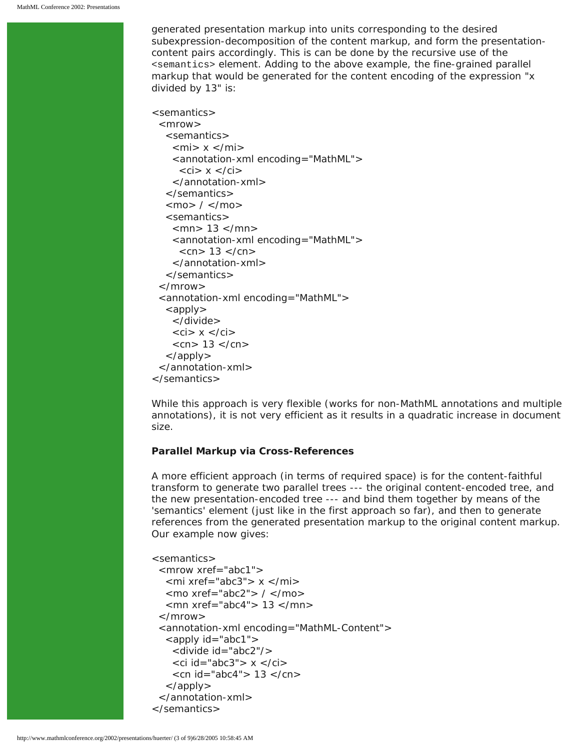generated presentation markup into units corresponding to the desired subexpression-decomposition of the content markup, and form the presentationcontent pairs accordingly. This is can be done by the recursive use of the <semantics> element. Adding to the above example, the fine-grained parallel markup that would be generated for the content encoding of the expression "*x* divided by 13" is:

```
<semantics>
 <mrow> <semantics>
    \langlemi> x \langlemi> <annotation-xml encoding="MathML">
     \langleci> x \langle/ci>
     </annotation-xml>
   </semantics>
  <mo> / </mo>
   <semantics>
     <mn> 13 </mn>
     <annotation-xml encoding="MathML">
     <cn> 13 </cn> </annotation-xml>
   </semantics>
  </mrow>
  <annotation-xml encoding="MathML">
  \langle apply\rangle </divide>
    \langleci> x \langle/ci>
    <cn> 13 </cn>
   </apply>
  </annotation-xml>
</semantics>
```
While this approach is very flexible (works for non-MathML annotations and multiple annotations), it is not very efficient as it results in a quadratic increase in document size.

### **Parallel Markup via Cross-References**

A more efficient approach (in terms of required space) is for the content-faithful transform to generate two parallel trees --- the original content-encoded tree, and the new presentation-encoded tree --- and bind them together by means of the 'semantics' element (just like in the first approach so far), and then to generate references from the generated presentation markup to the original content markup. Our example now gives:

```
<semantics>
  <mrow xref="abc1">
  \text{cm}i xref="abc3"> x \text{cm} <mo xref="abc2"> / </mo>
   <mn xref="abc4"> 13 </mn>
 \langle mrows
  <annotation-xml encoding="MathML-Content">
   <apply id="abc1">
     <divide id="abc2"/>
    \langleci id="abc3"> x \langleci>
     <cn id="abc4"> 13 </cn>
   </apply>
  </annotation-xml>
</semantics>
```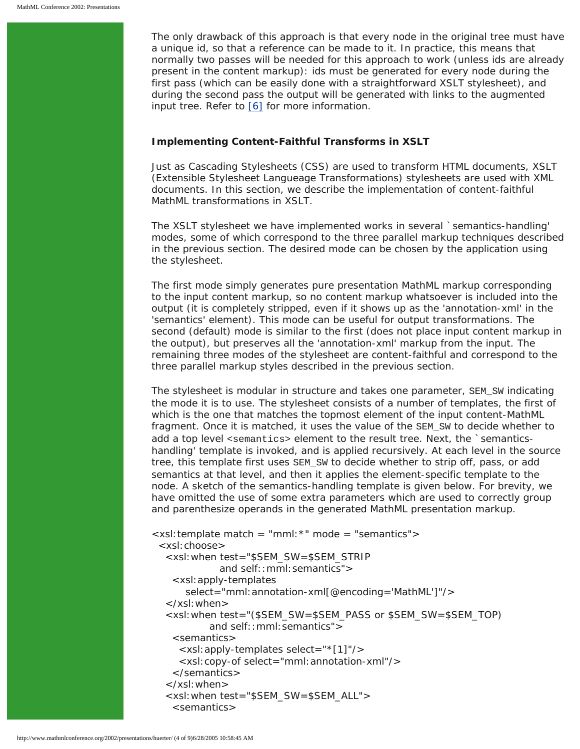The only drawback of this approach is that every node in the original tree must have a unique id, so that a reference can be made to it. In practice, this means that normally two passes will be needed for this approach to work (unless ids are already present in the content markup): ids must be generated for every node during the first pass (which can be easily done with a straightforward XSLT stylesheet), and during the second pass the output will be generated with links to the augmented input tree. Refer to [\[6\]](#page-8-3) for more information.

#### **Implementing Content-Faithful Transforms in XSLT**

Just as Cascading Stylesheets (CSS) are used to transform HTML documents, XSLT (Extensible Stylesheet Langueage Transformations) stylesheets are used with XML documents. In this section, we describe the implementation of content-faithful MathML transformations in XSLT.

The XSLT stylesheet we have implemented works in several `semantics-handling' modes, some of which correspond to the three parallel markup techniques described in the previous section. The desired mode can be chosen by the application using the stylesheet.

The first mode simply generates pure presentation MathML markup corresponding to the input content markup, so no content markup whatsoever is included into the output (it is completely stripped, even if it shows up as the 'annotation-xml' in the 'semantics' element). This mode can be useful for output transformations. The second (default) mode is similar to the first (does not place input content markup in the output), but preserves all the 'annotation-xml' markup from the input. The remaining three modes of the stylesheet are content-faithful and correspond to the three parallel markup styles described in the previous section.

The stylesheet is modular in structure and takes one parameter, SEM SW indicating the mode it is to use. The stylesheet consists of a number of templates, the first of which is the one that matches the topmost element of the input content-MathML fragment. Once it is matched, it uses the value of the SEM\_SW to decide whether to add a top level <semantics> element to the result tree. Next, the `semanticshandling' template is invoked, and is applied recursively. At each level in the source tree, this template first uses SEM\_SW to decide whether to strip off, pass, or add semantics at that level, and then it applies the element-specific template to the node. A sketch of the semantics-handling template is given below. For brevity, we have omitted the use of some extra parameters which are used to correctly group and parenthesize operands in the generated MathML presentation markup.

```
<xsl:template match = "mml:*" mode = "semantics">
  <xsl:choose>
   <xsl:when test="$SEM_SW=$SEM_STRIP 
             and self:: mml: semantics">
    <xsl:apply-templates 
       select="mml:annotation-xml[@encoding='MathML']"/>
   </xsl:when>
   <xsl:when test="($SEM_SW=$SEM_PASS or $SEM_SW=$SEM_TOP) 
           and self:: mml: semantics">
    <semantics>
      <xsl:apply-templates select="*[1]"/> 
      <xsl:copy-of select="mml:annotation-xml"/>
     </semantics>
  \langle x \ranglesl:when\langle x \rangle <xsl:when test="$SEM_SW=$SEM_ALL">
     <semantics>
```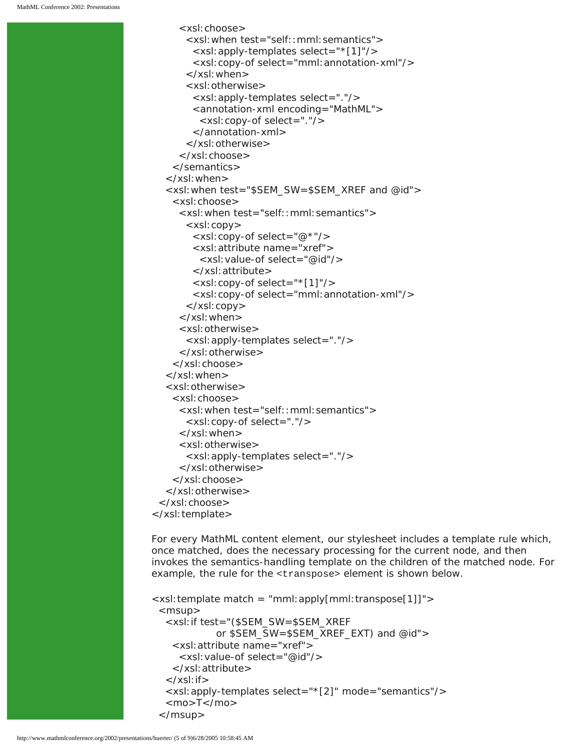```
 <xsl:choose>
       <xsl:when test="self::mml:semantics">
         <xsl:apply-templates select="*[1]"/>
         <xsl:copy-of select="mml:annotation-xml"/>
       </xsl:when>
       <xsl:otherwise>
         <xsl:apply-templates select="."/>
         <annotation-xml encoding="MathML">
          <xsl:copy-of select="."/>
         </annotation-xml>
       </xsl:otherwise>
      </xsl:choose>
     </semantics>
   </xsl:when>
   <xsl:when test="$SEM_SW=$SEM_XREF and @id">
     <xsl:choose>
      <xsl:when test="self::mml:semantics">
       <xsl:copy>
         <xsl:copy-of select="@*"/>
         <xsl:attribute name="xref">
          <xsl:value-of select="@id"/>
         </xsl:attribute>
         <xsl:copy-of select="*[1]"/>
         <xsl:copy-of select="mml:annotation-xml"/>
       </xsl:copy>
      </xsl:when>
      <xsl:otherwise>
       <xsl:apply-templates select="."/>
      </xsl:otherwise>
     </xsl:choose>
   </xsl:when>
   <xsl:otherwise>
     <xsl:choose>
      <xsl:when test="self::mml:semantics">
       <xsl:copy-of select="."/>
      </xsl:when>
      <xsl:otherwise>
       <xsl:apply-templates select="."/>
      </xsl:otherwise>
     </xsl:choose>
   </xsl:otherwise>
  </xsl:choose>
</xsl:template>
```
For every MathML content element, our stylesheet includes a template rule which, once matched, does the necessary processing for the current node, and then invokes the semantics-handling template on the children of the matched node. For example, the rule for the <transpose> element is shown below.

```
\langle x\sin t \rangle template match = "mml: apply [mml: transpose[1]]">
 <msup> <xsl:if test="($SEM_SW=$SEM_XREF
              or $SEM_SW=$SEM_XREF_EXT) and @id">
     <xsl:attribute name="xref">
      <xsl:value-of select="@id"/>
     </xsl:attribute>
  \langle x s |: if \langle <xsl:apply-templates select="*[2]" mode="semantics"/>
    <mo>T</mo>
  </msup>
```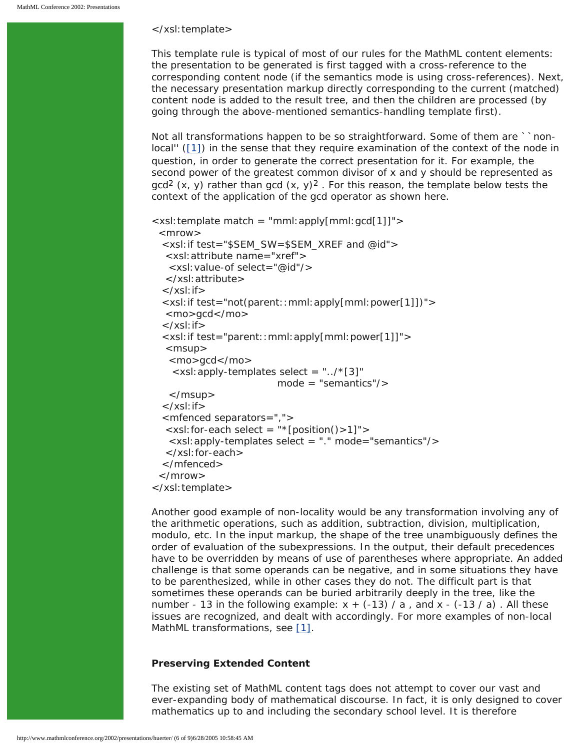#### </xsl:template>

This template rule is typical of most of our rules for the MathML content elements: the presentation to be generated is first tagged with a cross-reference to the corresponding content node (if the semantics mode is using cross-references). Next, the necessary presentation markup directly corresponding to the current (matched) content node is added to the result tree, and then the children are processed (by going through the above-mentioned semantics-handling template first).

Not all transformations happen to be so straightforward. Some of them are ``nonlocal'' ([\[1\]\)](#page-8-0) in the sense that they require examination of the context of the node in question, in order to generate the correct presentation for it. For example, the second power of the greatest common divisor of *x* and *y* should be represented as  $gcd<sup>2</sup>(x, y)$  rather than gcd  $(x, y)<sup>2</sup>$ . For this reason, the template below tests the context of the application of the *gcd* operator as shown here.

```
<xsl:template match = "mml:apply[mml:gcd[1]]">
 <mrow> <xsl:if test="$SEM_SW=$SEM_XREF and @id">
   <xsl:attribute name="xref">
    <xsl:value-of select="@id"/>
   </xsl:attribute>
 \langle x s |: if \langle <xsl:if test="not(parent::mml:apply[mml:power[1]])">
   <mo>gcd</mo>
 \langle xsl: if \rangle <xsl:if test="parent::mml:apply[mml:power[1]]">
  <msup> <mo>gcd</mo>
    \langle x \rangle -xsl: apply-templates select = ".../*[3]"
                           mode = "semantics"/>
    </msup>
 \langle xsl:if\rangle <mfenced separators=",">
   <xsl:for-each select = "*[position()>1]">
    <xsl:apply-templates select = "." mode="semantics"/>
   </xsl:for-each>
  </mfenced>
  </mrow>
</xsl:template>
```
Another good example of non-locality would be any transformation involving any of the arithmetic operations, such as addition, subtraction, division, multiplication, modulo, etc. In the input markup, the shape of the tree unambiguously defines the order of evaluation of the subexpressions. In the output, their default precedences have to be overridden by means of use of parentheses where appropriate. An added challenge is that some operands can be negative, and in some situations they have to be parenthesized, while in other cases they do not. The difficult part is that sometimes these operands can be buried arbitrarily deeply in the tree, like the number - 13 in the following example:  $x + (-13) / a$ , and  $x - (-13 / a)$ . All these issues are recognized, and dealt with accordingly. For more examples of non-local MathML transformations, see [\[1\]](#page-8-0).

#### **Preserving Extended Content**

The existing set of MathML content tags does not attempt to cover our vast and ever-expanding body of mathematical discourse. In fact, it is only designed to cover mathematics up to and including the secondary school level. It is therefore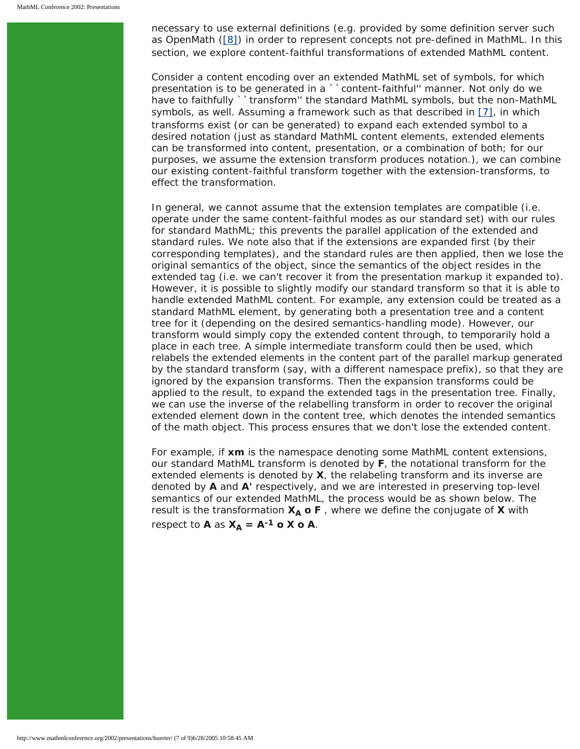necessary to use external definitions (e.g. provided by some *definition server* such as OpenMath [\(\[8\]](#page-8-4)) in order to represent concepts not pre-defined in MathML. In this section, we explore content-faithful transformations of *extended MathML* content.

Consider a content encoding over an extended MathML set of symbols, for which presentation is to be generated in a ``content-faithful'' manner. Not only do we have to faithfully ``transform" the standard MathML symbols, but the non-MathML symbols, as well. Assuming a framework such as that described in [\[7\],](#page-8-5) in which transforms exist (or can be generated) to expand each extended symbol to a desired notation (just as standard MathML content elements, extended elements can be transformed into content, presentation, or a combination of both; for our purposes, we assume the extension transform produces notation.), we can combine our existing content-faithful transform together with the extension-transforms, to effect the transformation.

In general, we cannot assume that the extension templates are compatible (i.e. operate under the same content-faithful modes as our standard set) with our rules for standard MathML; this prevents the parallel application of the extended and standard rules. We note also that if the extensions are expanded first (by their corresponding templates), and the standard rules are then applied, then we lose the original semantics of the object, since the semantics of the object resides in the extended tag (i.e. we can't recover it from the presentation markup it expanded to). However, it is possible to slightly modify our standard transform so that it is able to handle extended MathML content. For example, any extension could be treated as a standard MathML element, by generating both a presentation tree and a content tree for it (depending on the desired semantics-handling mode). However, our transform would simply copy the extended content through, to temporarily hold a place in each tree. A simple intermediate transform could then be used, which relabels the extended elements in the content part of the parallel markup generated by the standard transform (say, with a different namespace prefix), so that they are ignored by the expansion transforms. Then the expansion transforms could be applied to the result, to expand the extended tags in the presentation tree. Finally, we can use the inverse of the relabelling transform in order to recover the original extended element down in the content tree, which denotes the intended semantics of the math object. This process ensures that we don't lose the extended content.

For example, if **xm** is the namespace denoting some MathML content extensions, our standard MathML transform is denoted by **F**, the notational transform for the extended elements is denoted by **X**, the relabeling transform and its inverse are denoted by **A** and **A'** respectively, and we are interested in preserving top-level semantics of our extended MathML, the process would be as shown below. The result is the transformation  $X_A$  o F, where we define the conjugate of X with respect to **A** as  $X_A = A^{-1}$  o **X** o **A**.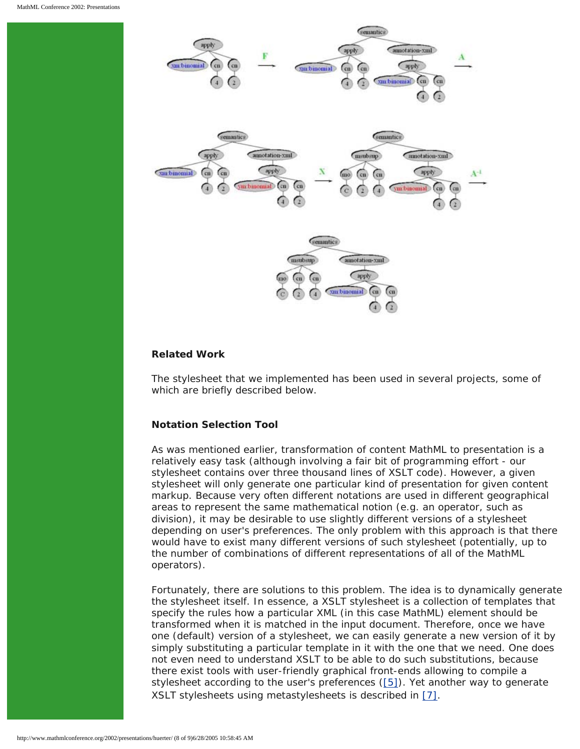

## **Related Work**

The stylesheet that we implemented has been used in several projects, some of which are briefly described below.

## **Notation Selection Tool**

As was mentioned earlier, transformation of content MathML to presentation is a relatively easy task (although involving a fair bit of programming effort - our stylesheet contains over three thousand lines of XSLT code). However, a given stylesheet will only generate one particular kind of presentation for given content markup. Because very often different notations are used in different geographical areas to represent the same mathematical notion (e.g. an operator, such as division), it may be desirable to use slightly different versions of a stylesheet depending on user's preferences. The only problem with this approach is that there would have to exist many different versions of such stylesheet (potentially, up to the number of combinations of different representations of all of the MathML operators).

Fortunately, there are solutions to this problem. The idea is to dynamically generate the stylesheet itself. In essence, a XSLT stylesheet is a collection of templates that specify the rules how a particular XML (in this case MathML) element should be transformed when it is matched in the input document. Therefore, once we have one (default) version of a stylesheet, we can easily generate a new version of it by simply substituting a particular template in it with the one that we need. One does not even need to understand XSLT to be able to do such substitutions, because there exist tools with user-friendly graphical front-ends allowing to compile a stylesheet according to the user's preferences  $([5])$  $([5])$  $([5])$ . Yet another way to generate XSLT stylesheets using metastylesheets is described in [\[7\].](#page-8-5)